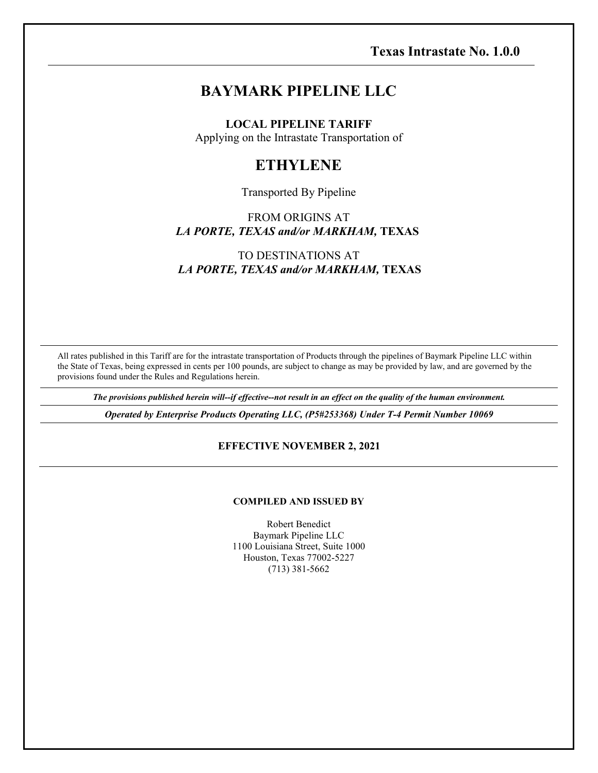# **BAYMARK PIPELINE LLC**

**LOCAL PIPELINE TARIFF**

Applying on the Intrastate Transportation of

# **ETHYLENE**

#### Transported By Pipeline

FROM ORIGINS AT *LA PORTE, TEXAS and/or MARKHAM,* **TEXAS**

# TO DESTINATIONS AT *LA PORTE, TEXAS and/or MARKHAM,* **TEXAS**

All rates published in this Tariff are for the intrastate transportation of Products through the pipelines of Baymark Pipeline LLC within the State of Texas, being expressed in cents per 100 pounds, are subject to change as may be provided by law, and are governed by the provisions found under the Rules and Regulations herein.

*The provisions published herein will--if effective--not result in an effect on the quality of the human environment.*

*Operated by Enterprise Products Operating LLC, (P5#253368) Under T-4 Permit Number 10069*

#### **EFFECTIVE NOVEMBER 2, 2021**

#### **COMPILED AND ISSUED BY**

Robert Benedict Baymark Pipeline LLC 1100 Louisiana Street, Suite 1000 Houston, Texas 77002-5227 (713) 381-5662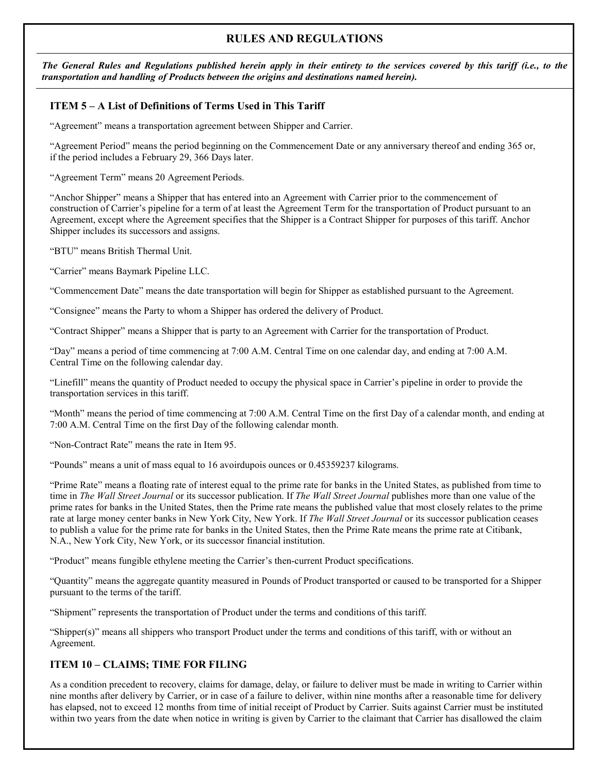# **RULES AND REGULATIONS**

*The General Rules and Regulations published herein apply in their entirety to the services covered by this tariff (i.e., to the transportation and handling of Products between the origins and destinations named herein).*

#### **ITEM 5 – A List of Definitions of Terms Used in This Tariff**

"Agreement" means a transportation agreement between Shipper and Carrier.

"Agreement Period" means the period beginning on the Commencement Date or any anniversary thereof and ending 365 or, if the period includes a February 29, 366 Days later.

"Agreement Term" means 20 Agreement Periods.

"Anchor Shipper" means a Shipper that has entered into an Agreement with Carrier prior to the commencement of construction of Carrier's pipeline for a term of at least the Agreement Term for the transportation of Product pursuant to an Agreement, except where the Agreement specifies that the Shipper is a Contract Shipper for purposes of this tariff. Anchor Shipper includes its successors and assigns.

"BTU" means British Thermal Unit.

"Carrier" means Baymark Pipeline LLC.

"Commencement Date" means the date transportation will begin for Shipper as established pursuant to the Agreement.

"Consignee" means the Party to whom a Shipper has ordered the delivery of Product.

"Contract Shipper" means a Shipper that is party to an Agreement with Carrier for the transportation of Product.

"Day" means a period of time commencing at 7:00 A.M. Central Time on one calendar day, and ending at 7:00 A.M. Central Time on the following calendar day.

"Linefill" means the quantity of Product needed to occupy the physical space in Carrier's pipeline in order to provide the transportation services in this tariff.

"Month" means the period of time commencing at 7:00 A.M. Central Time on the first Day of a calendar month, and ending at 7:00 A.M. Central Time on the first Day of the following calendar month.

"Non-Contract Rate" means the rate in Item 95.

"Pounds" means a unit of mass equal to 16 avoirdupois ounces or 0.45359237 kilograms.

"Prime Rate" means a floating rate of interest equal to the prime rate for banks in the United States, as published from time to time in *The Wall Street Journal* or its successor publication. If *The Wall Street Journal* publishes more than one value of the prime rates for banks in the United States, then the Prime rate means the published value that most closely relates to the prime rate at large money center banks in New York City, New York. If *The Wall Street Journal* or its successor publication ceases to publish a value for the prime rate for banks in the United States, then the Prime Rate means the prime rate at Citibank, N.A., New York City, New York, or its successor financial institution.

"Product" means fungible ethylene meeting the Carrier's then-current Product specifications.

"Quantity" means the aggregate quantity measured in Pounds of Product transported or caused to be transported for a Shipper pursuant to the terms of the tariff.

"Shipment" represents the transportation of Product under the terms and conditions of this tariff.

"Shipper(s)" means all shippers who transport Product under the terms and conditions of this tariff, with or without an Agreement.

#### **ITEM 10 – CLAIMS; TIME FOR FILING**

As a condition precedent to recovery, claims for damage, delay, or failure to deliver must be made in writing to Carrier within nine months after delivery by Carrier, or in case of a failure to deliver, within nine months after a reasonable time for delivery has elapsed, not to exceed 12 months from time of initial receipt of Product by Carrier. Suits against Carrier must be instituted within two years from the date when notice in writing is given by Carrier to the claimant that Carrier has disallowed the claim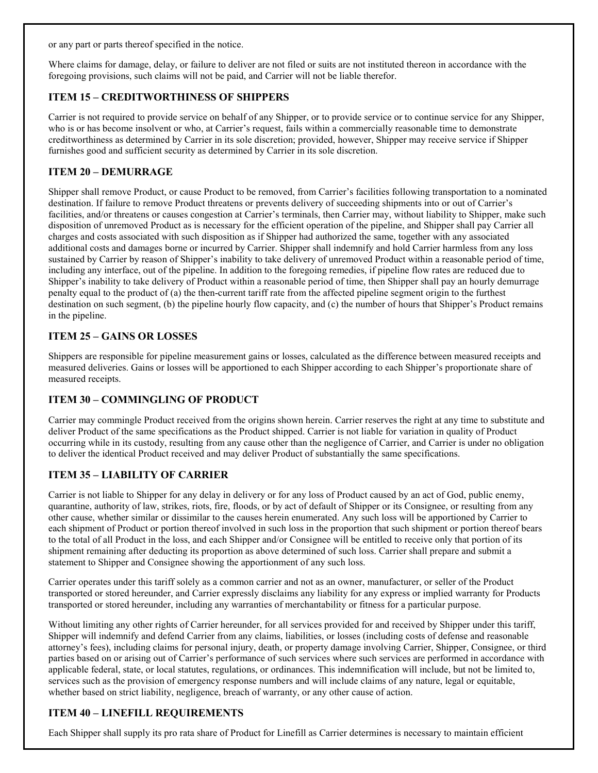or any part or parts thereof specified in the notice.

Where claims for damage, delay, or failure to deliver are not filed or suits are not instituted thereon in accordance with the foregoing provisions, such claims will not be paid, and Carrier will not be liable therefor.

# **ITEM 15 – CREDITWORTHINESS OF SHIPPERS**

Carrier is not required to provide service on behalf of any Shipper, or to provide service or to continue service for any Shipper, who is or has become insolvent or who, at Carrier's request, fails within a commercially reasonable time to demonstrate creditworthiness as determined by Carrier in its sole discretion; provided, however, Shipper may receive service if Shipper furnishes good and sufficient security as determined by Carrier in its sole discretion.

### **ITEM 20 – DEMURRAGE**

Shipper shall remove Product, or cause Product to be removed, from Carrier's facilities following transportation to a nominated destination. If failure to remove Product threatens or prevents delivery of succeeding shipments into or out of Carrier's facilities, and/or threatens or causes congestion at Carrier's terminals, then Carrier may, without liability to Shipper, make such disposition of unremoved Product as is necessary for the efficient operation of the pipeline, and Shipper shall pay Carrier all charges and costs associated with such disposition as if Shipper had authorized the same, together with any associated additional costs and damages borne or incurred by Carrier. Shipper shall indemnify and hold Carrier harmless from any loss sustained by Carrier by reason of Shipper's inability to take delivery of unremoved Product within a reasonable period of time, including any interface, out of the pipeline. In addition to the foregoing remedies, if pipeline flow rates are reduced due to Shipper's inability to take delivery of Product within a reasonable period of time, then Shipper shall pay an hourly demurrage penalty equal to the product of (a) the then-current tariff rate from the affected pipeline segment origin to the furthest destination on such segment, (b) the pipeline hourly flow capacity, and (c) the number of hours that Shipper's Product remains in the pipeline.

### **ITEM 25 – GAINS OR LOSSES**

Shippers are responsible for pipeline measurement gains or losses, calculated as the difference between measured receipts and measured deliveries. Gains or losses will be apportioned to each Shipper according to each Shipper's proportionate share of measured receipts.

### **ITEM 30 – COMMINGLING OF PRODUCT**

Carrier may commingle Product received from the origins shown herein. Carrier reserves the right at any time to substitute and deliver Product of the same specifications as the Product shipped. Carrier is not liable for variation in quality of Product occurring while in its custody, resulting from any cause other than the negligence of Carrier, and Carrier is under no obligation to deliver the identical Product received and may deliver Product of substantially the same specifications.

### **ITEM 35 – LIABILITY OF CARRIER**

Carrier is not liable to Shipper for any delay in delivery or for any loss of Product caused by an act of God, public enemy, quarantine, authority of law, strikes, riots, fire, floods, or by act of default of Shipper or its Consignee, or resulting from any other cause, whether similar or dissimilar to the causes herein enumerated. Any such loss will be apportioned by Carrier to each shipment of Product or portion thereof involved in such loss in the proportion that such shipment or portion thereof bears to the total of all Product in the loss, and each Shipper and/or Consignee will be entitled to receive only that portion of its shipment remaining after deducting its proportion as above determined of such loss. Carrier shall prepare and submit a statement to Shipper and Consignee showing the apportionment of any such loss.

Carrier operates under this tariff solely as a common carrier and not as an owner, manufacturer, or seller of the Product transported or stored hereunder, and Carrier expressly disclaims any liability for any express or implied warranty for Products transported or stored hereunder, including any warranties of merchantability or fitness for a particular purpose.

Without limiting any other rights of Carrier hereunder, for all services provided for and received by Shipper under this tariff, Shipper will indemnify and defend Carrier from any claims, liabilities, or losses (including costs of defense and reasonable attorney's fees), including claims for personal injury, death, or property damage involving Carrier, Shipper, Consignee, or third parties based on or arising out of Carrier's performance of such services where such services are performed in accordance with applicable federal, state, or local statutes, regulations, or ordinances. This indemnification will include, but not be limited to, services such as the provision of emergency response numbers and will include claims of any nature, legal or equitable, whether based on strict liability, negligence, breach of warranty, or any other cause of action.

### **ITEM 40 – LINEFILL REQUIREMENTS**

Each Shipper shall supply its pro rata share of Product for Linefill as Carrier determines is necessary to maintain efficient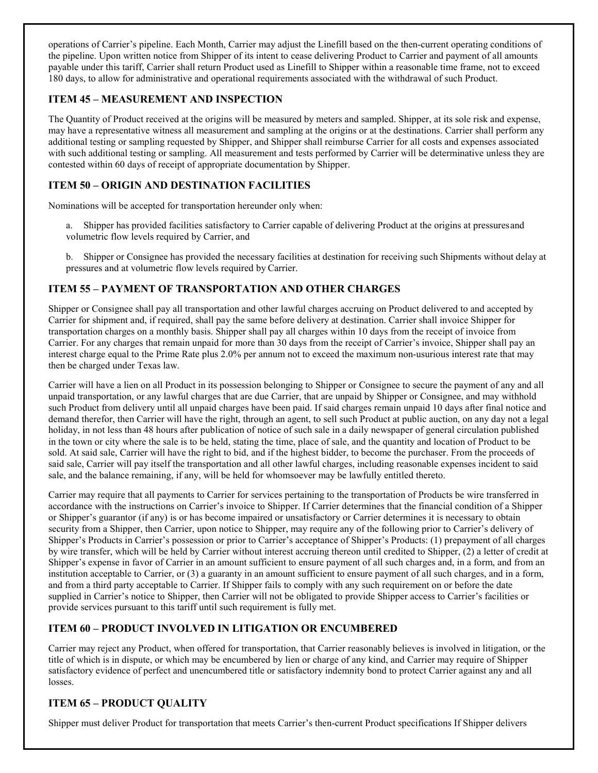operations of Carrier's pipeline. Each Month, Carrier may adjust the Linefill based on the then-current operating conditions of the pipeline. Upon written notice from Shipper of its intent to cease delivering Product to Carrier and payment of all amounts payable under this tariff, Carrier shall return Product used as Linefill to Shipper within a reasonable time frame, not to exceed 180 days, to allow for administrative and operational requirements associated with the withdrawal of such Product.

### **ITEM 45 – MEASUREMENT AND INSPECTION**

The Quantity of Product received at the origins will be measured by meters and sampled. Shipper, at its sole risk and expense, may have a representative witness all measurement and sampling at the origins or at the destinations. Carrier shall perform any additional testing or sampling requested by Shipper, and Shipper shall reimburse Carrier for all costs and expenses associated with such additional testing or sampling. All measurement and tests performed by Carrier will be determinative unless they are contested within 60 days of receipt of appropriate documentation by Shipper.

# **ITEM 50 – ORIGIN AND DESTINATION FACILITIES**

Nominations will be accepted for transportation hereunder only when:

a. Shipper has provided facilities satisfactory to Carrier capable of delivering Product at the origins at pressuresand volumetric flow levels required by Carrier, and

b. Shipper or Consignee has provided the necessary facilities at destination for receiving such Shipments without delay at pressures and at volumetric flow levels required by Carrier.

# **ITEM 55 – PAYMENT OF TRANSPORTATION AND OTHER CHARGES**

Shipper or Consignee shall pay all transportation and other lawful charges accruing on Product delivered to and accepted by Carrier for shipment and, if required, shall pay the same before delivery at destination. Carrier shall invoice Shipper for transportation charges on a monthly basis. Shipper shall pay all charges within 10 days from the receipt of invoice from Carrier. For any charges that remain unpaid for more than 30 days from the receipt of Carrier's invoice, Shipper shall pay an interest charge equal to the Prime Rate plus 2.0% per annum not to exceed the maximum non-usurious interest rate that may then be charged under Texas law.

Carrier will have a lien on all Product in its possession belonging to Shipper or Consignee to secure the payment of any and all unpaid transportation, or any lawful charges that are due Carrier, that are unpaid by Shipper or Consignee, and may withhold such Product from delivery until all unpaid charges have been paid. If said charges remain unpaid 10 days after final notice and demand therefor, then Carrier will have the right, through an agent, to sell such Product at public auction, on any day not a legal holiday, in not less than 48 hours after publication of notice of such sale in a daily newspaper of general circulation published in the town or city where the sale is to be held, stating the time, place of sale, and the quantity and location of Product to be sold. At said sale, Carrier will have the right to bid, and if the highest bidder, to become the purchaser. From the proceeds of said sale, Carrier will pay itself the transportation and all other lawful charges, including reasonable expenses incident to said sale, and the balance remaining, if any, will be held for whomsoever may be lawfully entitled thereto.

Carrier may require that all payments to Carrier for services pertaining to the transportation of Products be wire transferred in accordance with the instructions on Carrier's invoice to Shipper. If Carrier determines that the financial condition of a Shipper or Shipper's guarantor (if any) is or has become impaired or unsatisfactory or Carrier determines it is necessary to obtain security from a Shipper, then Carrier, upon notice to Shipper, may require any of the following prior to Carrier's delivery of Shipper's Products in Carrier's possession or prior to Carrier's acceptance of Shipper's Products: (1) prepayment of all charges by wire transfer, which will be held by Carrier without interest accruing thereon until credited to Shipper, (2) a letter of credit at Shipper's expense in favor of Carrier in an amount sufficient to ensure payment of all such charges and, in a form, and from an institution acceptable to Carrier, or (3) a guaranty in an amount sufficient to ensure payment of all such charges, and in a form, and from a third party acceptable to Carrier. If Shipper fails to comply with any such requirement on or before the date supplied in Carrier's notice to Shipper, then Carrier will not be obligated to provide Shipper access to Carrier's facilities or provide services pursuant to this tariff until such requirement is fully met.

# **ITEM 60 – PRODUCT INVOLVED IN LITIGATION OR ENCUMBERED**

Carrier may reject any Product, when offered for transportation, that Carrier reasonably believes is involved in litigation, or the title of which is in dispute, or which may be encumbered by lien or charge of any kind, and Carrier may require of Shipper satisfactory evidence of perfect and unencumbered title or satisfactory indemnity bond to protect Carrier against any and all losses.

# **ITEM 65 – PRODUCT QUALITY**

Shipper must deliver Product for transportation that meets Carrier's then-current Product specifications If Shipper delivers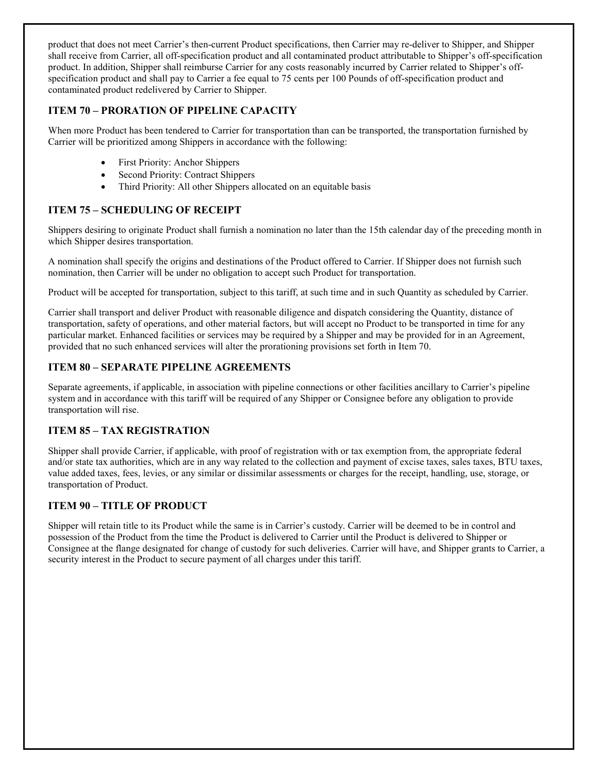product that does not meet Carrier's then-current Product specifications, then Carrier may re-deliver to Shipper, and Shipper shall receive from Carrier, all off-specification product and all contaminated product attributable to Shipper's off-specification product. In addition, Shipper shall reimburse Carrier for any costs reasonably incurred by Carrier related to Shipper's offspecification product and shall pay to Carrier a fee equal to 75 cents per 100 Pounds of off-specification product and contaminated product redelivered by Carrier to Shipper.

# **ITEM 70 – PRORATION OF PIPELINE CAPACITY**

When more Product has been tendered to Carrier for transportation than can be transported, the transportation furnished by Carrier will be prioritized among Shippers in accordance with the following:

- First Priority: Anchor Shippers
- Second Priority: Contract Shippers
- Third Priority: All other Shippers allocated on an equitable basis

### **ITEM 75 – SCHEDULING OF RECEIPT**

Shippers desiring to originate Product shall furnish a nomination no later than the 15th calendar day of the preceding month in which Shipper desires transportation.

A nomination shall specify the origins and destinations of the Product offered to Carrier. If Shipper does not furnish such nomination, then Carrier will be under no obligation to accept such Product for transportation.

Product will be accepted for transportation, subject to this tariff, at such time and in such Quantity as scheduled by Carrier.

Carrier shall transport and deliver Product with reasonable diligence and dispatch considering the Quantity, distance of transportation, safety of operations, and other material factors, but will accept no Product to be transported in time for any particular market. Enhanced facilities or services may be required by a Shipper and may be provided for in an Agreement, provided that no such enhanced services will alter the prorationing provisions set forth in Item 70.

#### **ITEM 80 – SEPARATE PIPELINE AGREEMENTS**

Separate agreements, if applicable, in association with pipeline connections or other facilities ancillary to Carrier's pipeline system and in accordance with this tariff will be required of any Shipper or Consignee before any obligation to provide transportation will rise.

#### **ITEM 85 – TAX REGISTRATION**

Shipper shall provide Carrier, if applicable, with proof of registration with or tax exemption from, the appropriate federal and/or state tax authorities, which are in any way related to the collection and payment of excise taxes, sales taxes, BTU taxes, value added taxes, fees, levies, or any similar or dissimilar assessments or charges for the receipt, handling, use, storage, or transportation of Product.

#### **ITEM 90 – TITLE OF PRODUCT**

Shipper will retain title to its Product while the same is in Carrier's custody. Carrier will be deemed to be in control and possession of the Product from the time the Product is delivered to Carrier until the Product is delivered to Shipper or Consignee at the flange designated for change of custody for such deliveries. Carrier will have, and Shipper grants to Carrier, a security interest in the Product to secure payment of all charges under this tariff.